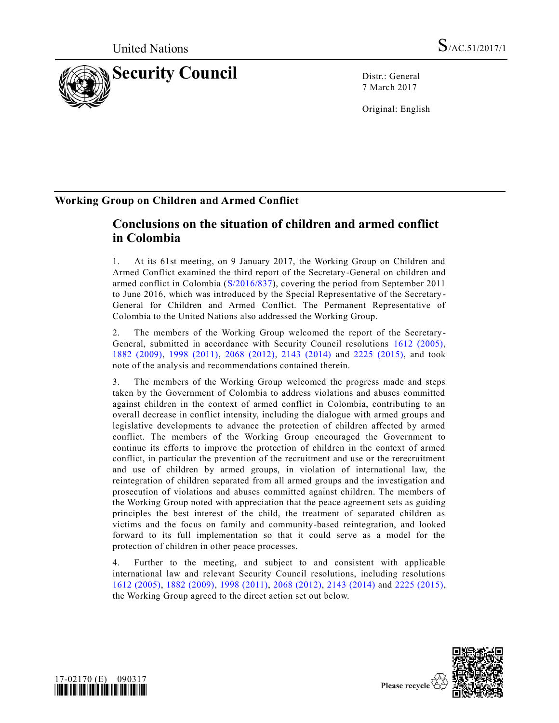

7 March 2017

Original: English

# **Working Group on Children and Armed Conflict**

# **Conclusions on the situation of children and armed conflict in Colombia**

1. At its 61st meeting, on 9 January 2017, the Working Group on Children and Armed Conflict examined the third report of the Secretary-General on children and armed conflict in Colombia [\(S/2016/837\)](http://undocs.org/S/2016/837), covering the period from September 2011 to June 2016, which was introduced by the Special Representative of the Secretary - General for Children and Armed Conflict. The Permanent Representative of Colombia to the United Nations also addressed the Working Group.

2. The members of the Working Group welcomed the report of the Secretary-General, submitted in accordance with Security Council resolutions [1612 \(2005\),](http://undocs.org/S/RES/1612(2005)) [1882 \(2009\),](http://undocs.org/S/RES/1882(2009)) [1998 \(2011\),](http://undocs.org/S/RES/1998(2011)) [2068 \(2012\),](http://undocs.org/S/RES/2068(2012)) [2143 \(2014\)](http://undocs.org/S/RES/2143(2014)) and [2225 \(2015\),](http://undocs.org/S/RES/2225(2015)) and took note of the analysis and recommendations contained therein.

3. The members of the Working Group welcomed the progress made and steps taken by the Government of Colombia to address violations and abuses committed against children in the context of armed conflict in Colombia, contributing to an overall decrease in conflict intensity, including the dialogue with armed groups and legislative developments to advance the protection of children affected by armed conflict. The members of the Working Group encouraged the Government to continue its efforts to improve the protection of children in the context of armed conflict, in particular the prevention of the recruitment and use or the rerecruitment and use of children by armed groups, in violation of international law, the reintegration of children separated from all armed groups and the investigation and prosecution of violations and abuses committed against children. The members of the Working Group noted with appreciation that the peace agreement sets as guiding principles the best interest of the child, the treatment of separated children as victims and the focus on family and community-based reintegration, and looked forward to its full implementation so that it could serve as a model for the protection of children in other peace processes.

4. Further to the meeting, and subject to and consistent with applicable international law and relevant Security Council resolutions, including resolutions [1612 \(2005\),](http://undocs.org/S/RES/1612(2005)) [1882 \(2009\),](http://undocs.org/S/RES/1882(2009)) [1998 \(2011\),](http://undocs.org/S/RES/1998(2011)) [2068 \(2012\),](http://undocs.org/S/RES/2068(2012)) [2143 \(2014\)](http://undocs.org/S/RES/2143(2014)) and [2225 \(2015\),](http://undocs.org/S/RES/2225(2015)) the Working Group agreed to the direct action set out below.





Please recycle  $\overline{\mathcal{C}}$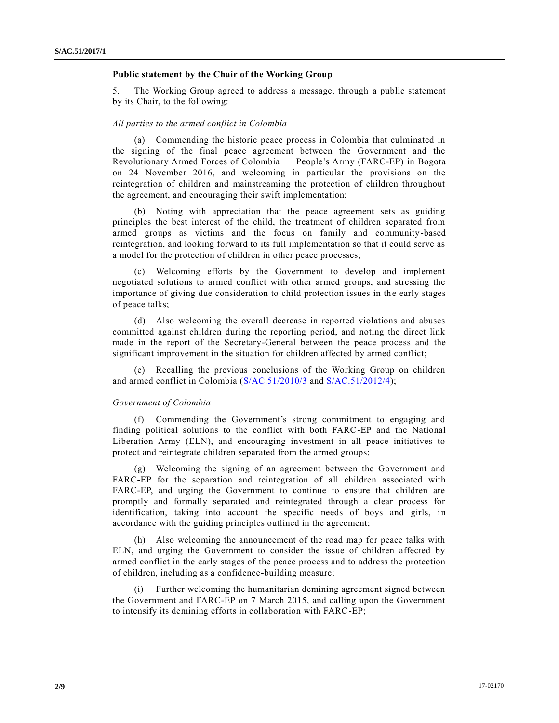## **Public statement by the Chair of the Working Group**

5. The Working Group agreed to address a message, through a public statement by its Chair, to the following:

### *All parties to the armed conflict in Colombia*

(a) Commending the historic peace process in Colombia that culminated in the signing of the final peace agreement between the Government and the Revolutionary Armed Forces of Colombia — People's Army (FARC-EP) in Bogota on 24 November 2016, and welcoming in particular the provisions on the reintegration of children and mainstreaming the protection of children throughout the agreement, and encouraging their swift implementation;

(b) Noting with appreciation that the peace agreement sets as guiding principles the best interest of the child, the treatment of children separated from armed groups as victims and the focus on family and community-based reintegration, and looking forward to its full implementation so that it could serve as a model for the protection of children in other peace processes;

(c) Welcoming efforts by the Government to develop and implement negotiated solutions to armed conflict with other armed groups, and stressing the importance of giving due consideration to child protection issues in the early stages of peace talks;

(d) Also welcoming the overall decrease in reported violations and abuses committed against children during the reporting period, and noting the direct link made in the report of the Secretary-General between the peace process and the significant improvement in the situation for children affected by armed conflict;

(e) Recalling the previous conclusions of the Working Group on children and armed conflict in Colombia [\(S/AC.51/2010/3](http://undocs.org/S/AC.51/2010/3) and [S/AC.51/2012/4\)](http://undocs.org/S/AC.51/2012/4);

#### *Government of Colombia*

(f) Commending the Government's strong commitment to engaging and finding political solutions to the conflict with both FARC-EP and the National Liberation Army (ELN), and encouraging investment in all peace initiatives to protect and reintegrate children separated from the armed groups;

(g) Welcoming the signing of an agreement between the Government and FARC-EP for the separation and reintegration of all children associated with FARC-EP, and urging the Government to continue to ensure that children are promptly and formally separated and reintegrated through a clear process for identification, taking into account the specific needs of boys and girls, in accordance with the guiding principles outlined in the agreement;

(h) Also welcoming the announcement of the road map for peace talks with ELN, and urging the Government to consider the issue of children affected by armed conflict in the early stages of the peace process and to address the protection of children, including as a confidence-building measure;

(i) Further welcoming the humanitarian demining agreement signed between the Government and FARC-EP on 7 March 2015, and calling upon the Government to intensify its demining efforts in collaboration with FARC-EP;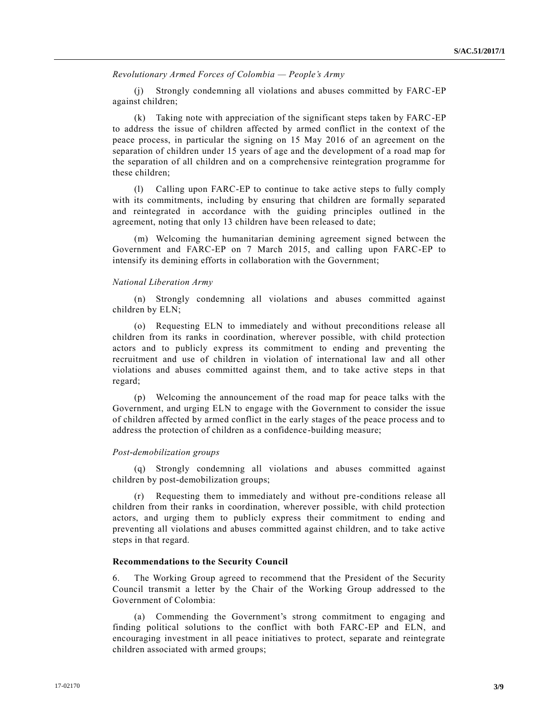*Revolutionary Armed Forces of Colombia — People's Army* 

Strongly condemning all violations and abuses committed by FARC-EP against children;

(k) Taking note with appreciation of the significant steps taken by FARC-EP to address the issue of children affected by armed conflict in the context of the peace process, in particular the signing on 15 May 2016 of an agreement on the separation of children under 15 years of age and the development of a road map for the separation of all children and on a comprehensive reintegration programme for these children;

(l) Calling upon FARC-EP to continue to take active steps to fully comply with its commitments, including by ensuring that children are formally separated and reintegrated in accordance with the guiding principles outlined in the agreement, noting that only 13 children have been released to date;

(m) Welcoming the humanitarian demining agreement signed between the Government and FARC-EP on 7 March 2015, and calling upon FARC-EP to intensify its demining efforts in collaboration with the Government;

### *National Liberation Army*

(n) Strongly condemning all violations and abuses committed against children by ELN;

(o) Requesting ELN to immediately and without preconditions release all children from its ranks in coordination, wherever possible, with child protection actors and to publicly express its commitment to ending and preventing the recruitment and use of children in violation of international law and all other violations and abuses committed against them, and to take active steps in that regard;

(p) Welcoming the announcement of the road map for peace talks with the Government, and urging ELN to engage with the Government to consider the issue of children affected by armed conflict in the early stages of the peace process and to address the protection of children as a confidence-building measure;

#### *Post-demobilization groups*

(q) Strongly condemning all violations and abuses committed against children by post-demobilization groups;

(r) Requesting them to immediately and without pre-conditions release all children from their ranks in coordination, wherever possible, with child protection actors, and urging them to publicly express their commitment to ending and preventing all violations and abuses committed against children, and to take active steps in that regard.

# **Recommendations to the Security Council**

6. The Working Group agreed to recommend that the President of the Security Council transmit a letter by the Chair of the Working Group addressed to the Government of Colombia:

(a) Commending the Government's strong commitment to engaging and finding political solutions to the conflict with both FARC-EP and ELN, and encouraging investment in all peace initiatives to protect, separate and reintegrate children associated with armed groups;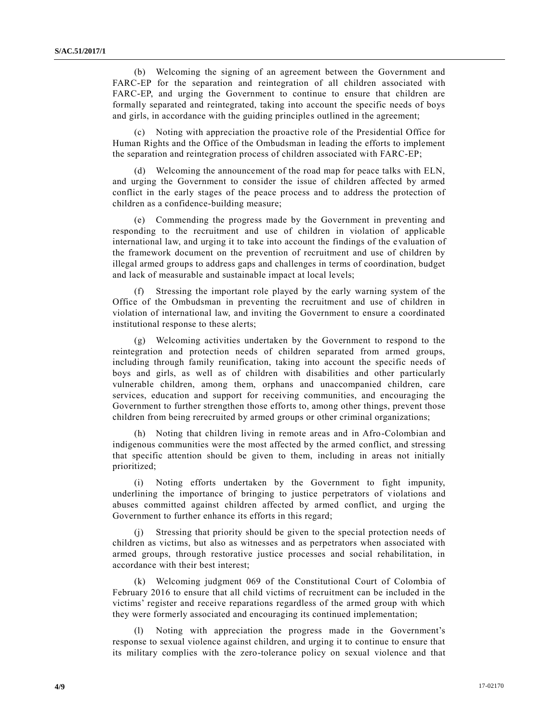(b) Welcoming the signing of an agreement between the Government and FARC-EP for the separation and reintegration of all children associated with FARC-EP, and urging the Government to continue to ensure that children are formally separated and reintegrated, taking into account the specific needs of boys and girls, in accordance with the guiding principles outlined in the agreement;

Noting with appreciation the proactive role of the Presidential Office for Human Rights and the Office of the Ombudsman in leading the efforts to implement the separation and reintegration process of children associated with FARC-EP;

Welcoming the announcement of the road map for peace talks with ELN, and urging the Government to consider the issue of children affected by armed conflict in the early stages of the peace process and to address the protection of children as a confidence-building measure;

(e) Commending the progress made by the Government in preventing and responding to the recruitment and use of children in violation of applicable international law, and urging it to take into account the findings of the e valuation of the framework document on the prevention of recruitment and use of children by illegal armed groups to address gaps and challenges in terms of coordination, budget and lack of measurable and sustainable impact at local levels;

Stressing the important role played by the early warning system of the Office of the Ombudsman in preventing the recruitment and use of children in violation of international law, and inviting the Government to ensure a coordinated institutional response to these alerts;

(g) Welcoming activities undertaken by the Government to respond to the reintegration and protection needs of children separated from armed groups, including through family reunification, taking into account the specific needs of boys and girls, as well as of children with disabilities and other particularly vulnerable children, among them, orphans and unaccompanied children, care services, education and support for receiving communities, and encouraging the Government to further strengthen those efforts to, among other things, prevent those children from being rerecruited by armed groups or other criminal organizations;

(h) Noting that children living in remote areas and in Afro-Colombian and indigenous communities were the most affected by the armed conflict, and stressing that specific attention should be given to them, including in areas not initially prioritized;

(i) Noting efforts undertaken by the Government to fight impunity, underlining the importance of bringing to justice perpetrators of violations and abuses committed against children affected by armed conflict, and urging the Government to further enhance its efforts in this regard;

(j) Stressing that priority should be given to the special protection needs of children as victims, but also as witnesses and as perpetrators when associated with armed groups, through restorative justice processes and social rehabilitation, in accordance with their best interest;

(k) Welcoming judgment 069 of the Constitutional Court of Colombia of February 2016 to ensure that all child victims of recruitment can be included in the victims' register and receive reparations regardless of the armed group with which they were formerly associated and encouraging its continued implementation;

(l) Noting with appreciation the progress made in the Government's response to sexual violence against children, and urging it to continue to ensure that its military complies with the zero-tolerance policy on sexual violence and that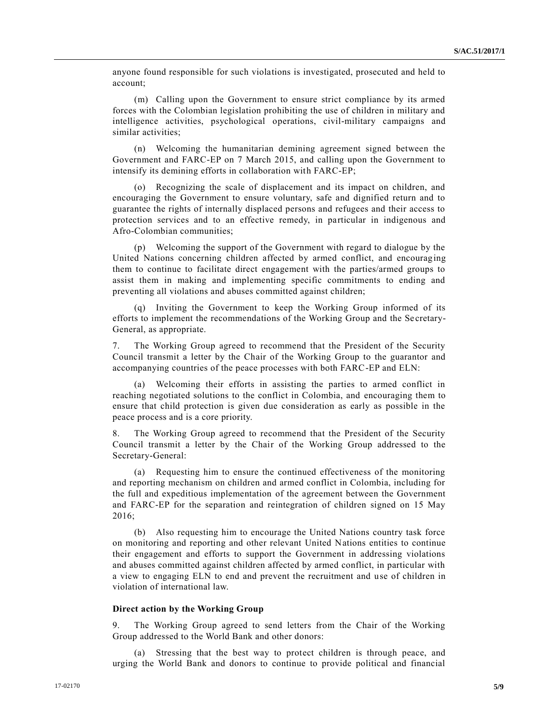anyone found responsible for such violations is investigated, prosecuted and held to account;

(m) Calling upon the Government to ensure strict compliance by its armed forces with the Colombian legislation prohibiting the use of children in military and intelligence activities, psychological operations, civil-military campaigns and similar activities;

(n) Welcoming the humanitarian demining agreement signed between the Government and FARC-EP on 7 March 2015, and calling upon the Government to intensify its demining efforts in collaboration with FARC-EP;

(o) Recognizing the scale of displacement and its impact on children, and encouraging the Government to ensure voluntary, safe and dignified return and to guarantee the rights of internally displaced persons and refugees and their access to protection services and to an effective remedy, in particular in indigenous and Afro-Colombian communities;

(p) Welcoming the support of the Government with regard to dialogue by the United Nations concerning children affected by armed conflict, and encouraging them to continue to facilitate direct engagement with the parties/armed groups to assist them in making and implementing specific commitments to ending and preventing all violations and abuses committed against children;

(q) Inviting the Government to keep the Working Group informed of its efforts to implement the recommendations of the Working Group and the Se cretary-General, as appropriate.

7. The Working Group agreed to recommend that the President of the Security Council transmit a letter by the Chair of the Working Group to the guarantor and accompanying countries of the peace processes with both FARC-EP and ELN:

(a) Welcoming their efforts in assisting the parties to armed conflict in reaching negotiated solutions to the conflict in Colombia, and encouraging them to ensure that child protection is given due consideration as early as possible in the peace process and is a core priority.

8. The Working Group agreed to recommend that the President of the Security Council transmit a letter by the Chair of the Working Group addressed to the Secretary-General:

(a) Requesting him to ensure the continued effectiveness of the monitoring and reporting mechanism on children and armed conflict in Colombia, including for the full and expeditious implementation of the agreement between the Government and FARC-EP for the separation and reintegration of children signed on 15 May 2016;

(b) Also requesting him to encourage the United Nations country task force on monitoring and reporting and other relevant United Nations entities to continue their engagement and efforts to support the Government in addressing violations and abuses committed against children affected by armed conflict, in particular with a view to engaging ELN to end and prevent the recruitment and use of children in violation of international law.

#### **Direct action by the Working Group**

9. The Working Group agreed to send letters from the Chair of the Working Group addressed to the World Bank and other donors:

(a) Stressing that the best way to protect children is through peace, and urging the World Bank and donors to continue to provide political and financial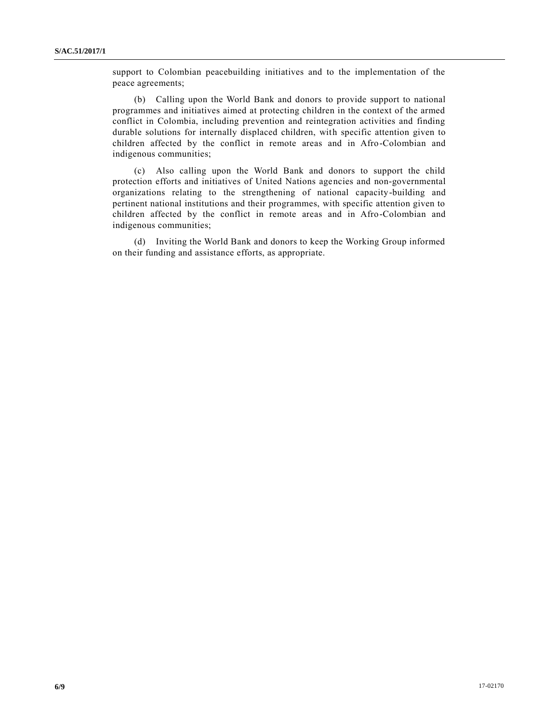support to Colombian peacebuilding initiatives and to the implementation of the peace agreements;

(b) Calling upon the World Bank and donors to provide support to national programmes and initiatives aimed at protecting children in the context of the armed conflict in Colombia, including prevention and reintegration activities and finding durable solutions for internally displaced children, with specific attention given to children affected by the conflict in remote areas and in Afro-Colombian and indigenous communities;

(c) Also calling upon the World Bank and donors to support the child protection efforts and initiatives of United Nations agencies and non-governmental organizations relating to the strengthening of national capacity-building and pertinent national institutions and their programmes, with specific attention given to children affected by the conflict in remote areas and in Afro-Colombian and indigenous communities;

(d) Inviting the World Bank and donors to keep the Working Group informed on their funding and assistance efforts, as appropriate.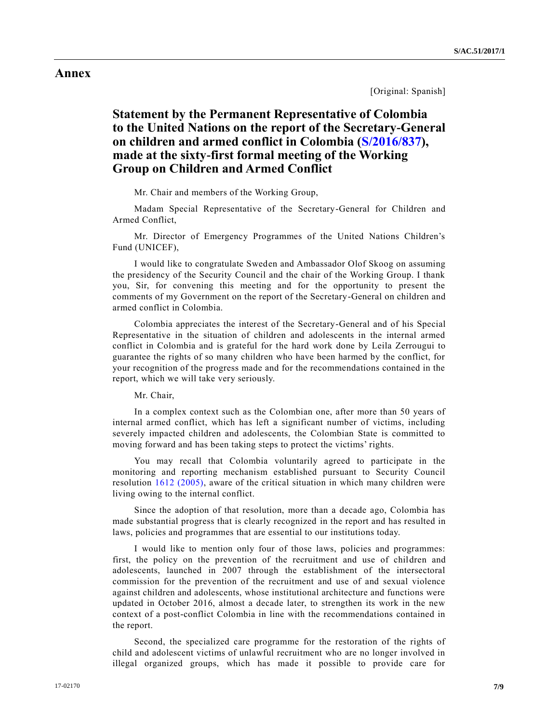# **Annex**

[Original: Spanish]

# **Statement by the Permanent Representative of Colombia to the United Nations on the report of the Secretary-General on children and armed conflict in Colombia [\(S/2016/837\)](http://undocs.org/S/2016/837), made at the sixty-first formal meeting of the Working Group on Children and Armed Conflict**

Mr. Chair and members of the Working Group,

Madam Special Representative of the Secretary-General for Children and Armed Conflict,

Mr. Director of Emergency Programmes of the United Nations Children's Fund (UNICEF),

I would like to congratulate Sweden and Ambassador Olof Skoog on assuming the presidency of the Security Council and the chair of the Working Group. I thank you, Sir, for convening this meeting and for the opportunity to present the comments of my Government on the report of the Secretary-General on children and armed conflict in Colombia.

Colombia appreciates the interest of the Secretary-General and of his Special Representative in the situation of children and adolescents in the internal armed conflict in Colombia and is grateful for the hard work done by Leila Zerrougui to guarantee the rights of so many children who have been harmed by the conflict, for your recognition of the progress made and for the recommendations contained in the report, which we will take very seriously.

Mr. Chair,

In a complex context such as the Colombian one, after more than 50 years of internal armed conflict, which has left a significant number of victims, including severely impacted children and adolescents, the Colombian State is committed to moving forward and has been taking steps to protect the victims' rights.

You may recall that Colombia voluntarily agreed to participate in the monitoring and reporting mechanism established pursuant to Security Council resolution [1612 \(2005\),](http://undocs.org/S/RES/1612(2005)) aware of the critical situation in which many children were living owing to the internal conflict.

Since the adoption of that resolution, more than a decade ago, Colombia has made substantial progress that is clearly recognized in the report and has resulted in laws, policies and programmes that are essential to our institutions today.

I would like to mention only four of those laws, policies and programmes: first, the policy on the prevention of the recruitment and use of children and adolescents, launched in 2007 through the establishment of the intersectoral commission for the prevention of the recruitment and use of and sexual violence against children and adolescents, whose institutional architecture and functions were updated in October 2016, almost a decade later, to strengthen its work in the new context of a post-conflict Colombia in line with the recommendations contained in the report.

Second, the specialized care programme for the restoration of the rights of child and adolescent victims of unlawful recruitment who are no longer involved in illegal organized groups, which has made it possible to provide care for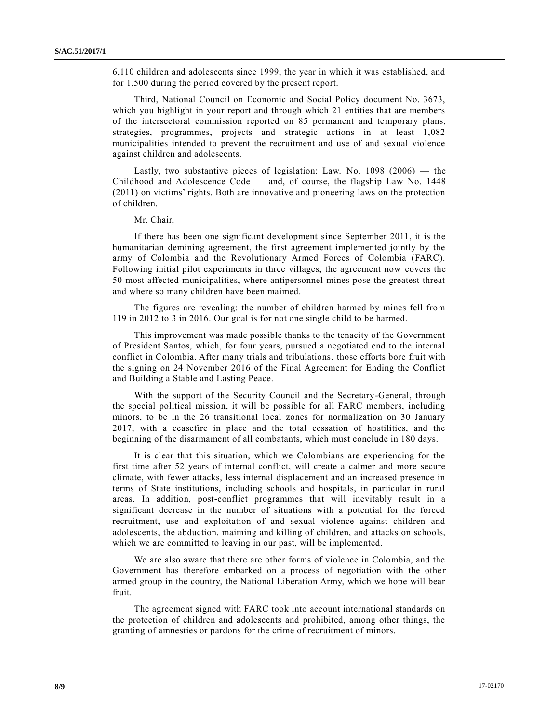6,110 children and adolescents since 1999, the year in which it was established, and for 1,500 during the period covered by the present report.

Third, National Council on Economic and Social Policy document No. 3673, which you highlight in your report and through which 21 entities that are members of the intersectoral commission reported on 85 permanent and temporary plans, strategies, programmes, projects and strategic actions in at least 1,082 municipalities intended to prevent the recruitment and use of and sexual violence against children and adolescents.

Lastly, two substantive pieces of legislation: Law. No.  $1098$  (2006) — the Childhood and Adolescence Code — and, of course, the flagship Law No. 1448 (2011) on victims' rights. Both are innovative and pioneering laws on the protection of children.

Mr. Chair,

If there has been one significant development since September 2011, it is the humanitarian demining agreement, the first agreement implemented jointly by the army of Colombia and the Revolutionary Armed Forces of Colombia (FARC). Following initial pilot experiments in three villages, the agreement now covers the 50 most affected municipalities, where antipersonnel mines pose the greatest threat and where so many children have been maimed.

The figures are revealing: the number of children harmed by mines fell from 119 in 2012 to 3 in 2016. Our goal is for not one single child to be harmed.

This improvement was made possible thanks to the tenacity of the Government of President Santos, which, for four years, pursued a negotiated end to the internal conflict in Colombia. After many trials and tribulations, those efforts bore fruit with the signing on 24 November 2016 of the Final Agreement for Ending the Conflict and Building a Stable and Lasting Peace.

With the support of the Security Council and the Secretary-General, through the special political mission, it will be possible for all FARC members, including minors, to be in the 26 transitional local zones for normalization on 30 January 2017, with a ceasefire in place and the total cessation of hostilities, and the beginning of the disarmament of all combatants, which must conclude in 180 days.

It is clear that this situation, which we Colombians are experiencing for the first time after 52 years of internal conflict, will create a calmer and more secure climate, with fewer attacks, less internal displacement and an increased presence in terms of State institutions, including schools and hospitals, in particular in rural areas. In addition, post-conflict programmes that will inevitably result in a significant decrease in the number of situations with a potential for the forced recruitment, use and exploitation of and sexual violence against children and adolescents, the abduction, maiming and killing of children, and attacks on schools, which we are committed to leaving in our past, will be implemented.

We are also aware that there are other forms of violence in Colombia, and the Government has therefore embarked on a process of negotiation with the other armed group in the country, the National Liberation Army, which we hope will bear fruit.

The agreement signed with FARC took into account international standards on the protection of children and adolescents and prohibited, among other things, the granting of amnesties or pardons for the crime of recruitment of minors.